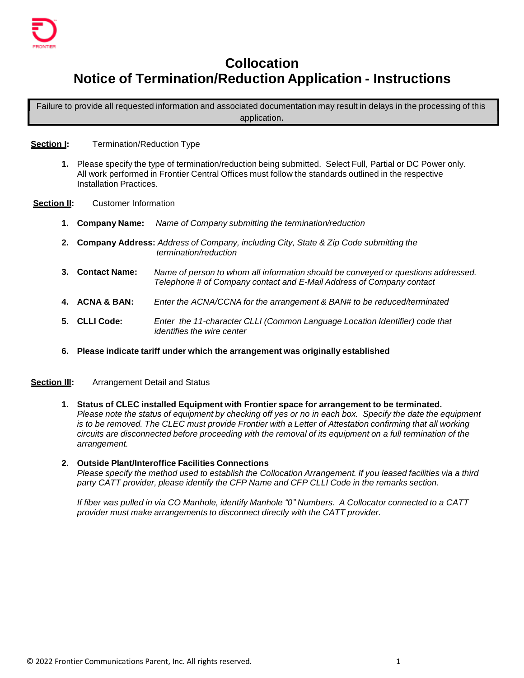

# **Collocation Notice of Termination/Reduction Application - Instructions**

Failure to provide all requested information and associated documentation may result in delays in the processing of this application.

**Section I:** Termination/Reduction Type

- **1.** Please specify the type of termination/reductionbeing submitted. Select Full, Partial or DC Power only. All work performed in Frontier Central Offices must follow the standards outlined in the respective Installation Practices.
- **Section II:** Customer Information
	- **1. Company Name:** *Name of Company submitting the termination/reduction*
	- **2. Company Address:** *Address of Company, including City, State & Zip Code submitting the termination/reduction*
	- **3. Contact Name:** *Name of person to whom all information should be conveyed or questions addressed. Telephone # of Company contact and E-Mail Address of Company contact*
	- **4. ACNA & BAN:** *Enter the ACNA/CCNA for the arrangement & BAN# to be reduced/terminated*
	- **5. CLLI Code:** *Enter the 11-character CLLI (Common Language Location Identifier) code that identifies the wire center*
	- **6. Please indicate tariff under which the arrangement was originallyestablished**
- **Section III:** Arrangement Detail and Status
	- **1. Status of CLEC installed Equipment with Frontier space for arrangement to be terminated.** Please note the status of equipment by checking off yes or no in each box. Specify the date the equipment *is to be removed. The CLEC must provide Frontier with a Letter of Attestation confirming that all working circuits are disconnected before proceeding with the removal of its equipment on a full termination of the arrangement.*

# **2. Outside Plant/Interoffice Facilities Connections** *Please specify the method used to establish the Collocation Arrangement. If you leased facilities via a third party CATT provider, please identify the CFP Name and CFP CLLI Code in the remarks section.*

*If fiber was pulled in via CO Manhole, identify Manhole "0" Numbers. A Collocator connected to a CATT provider must make arrangements to disconnect directly with the CATT provider.*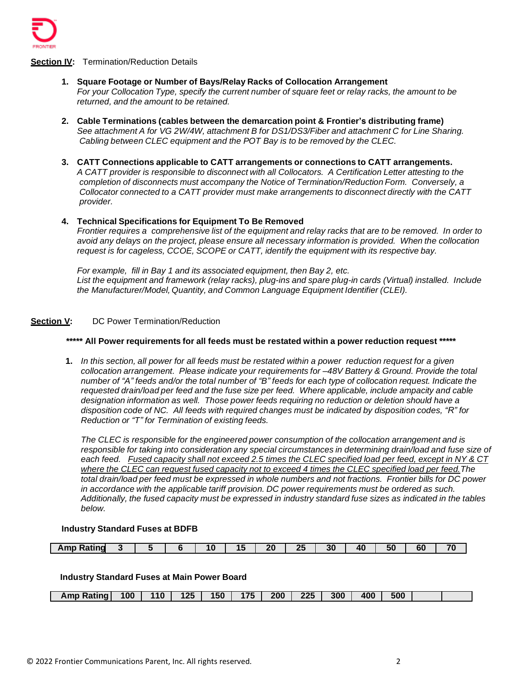

## **Section IV:** Termination/Reduction Details

- **1. Square Footage or Number of Bays/Relay Racks of Collocation Arrangement** For your Collocation Type, specify the current number of square feet or relay racks, the amount to be *returned, and the amount to be retained.*
- **2. Cable Terminations (cables between the demarcation point & Frontier's distributing frame)** *See attachment A for VG 2W/4W, attachment B for DS1/DS3/Fiber and attachment C for Line Sharing. Cabling between CLEC equipment and the POT Bay is to be removed by the CLEC.*
- **3. CATT Connections applicable to CATT arrangements or connectionsto CATT arrangements.** *A CATT provider is responsible to disconnect with all Collocators. A Certification Letter attesting to the completion of disconnects must accompany the Notice of Termination/Reduction Form. Conversely, a Collocator connected to a CATT provider must make arrangements to disconnect directly with the CATT provider.*

# **4. Technical Specifications for Equipment To Be Removed**

Frontier requires a comprehensive list of the equipment and relay racks that are to be removed. In order to *avoid any delays on the project, please ensure all necessary information is provided. When the collocation request is for cageless, CCOE, SCOPE or CATT, identify the equipment with its respective bay.*

*For example, fill in Bay 1 and its associated equipment, then Bay 2, etc. List the equipment and framework (relay racks), plug-ins and spare plug-in cards (Virtual) installed. Include the* Manufacturer/Model, Quantity, and Common Language Equipment Identifier (CLEI).

# **Section V:** DC Power Termination/Reduction

# **\*\*\*\*\* All Power requirementsfor all feeds must be restated within a power reduction request \*\*\*\*\***

1. In this section, all power for all feeds must be restated within a power reduction request for a given *collocation arrangement. Please indicate your requirements for –48V Battery & Ground. Provide the total*  number of "A" feeds and/or the total number of "B" feeds for each type of collocation request. Indicate the *requested drain/loadper feed and the fuse size per feed. Where applicable, include ampacity and cable designation information as well. Those power feeds requiring no reduction or deletion should have a disposition code of NC. All feeds with required changes must be indicated by disposition codes, "R" for Reduction or "T" for Termination of existing feeds.*

*The CLEC is responsible for the engineeredpower consumption of the collocation arrangement and is responsible for taking into consideration any special circumstances in determining drain/load and fuse size of*  each feed. Fused capacity shall not exceed 2.5 times the CLEC specified load per feed, except in NY & CT *where the CLEC can request fused capacity not to exceed 4 times the CLEC specified load per feed.The total drain/loadper feed must be expressed in whole numbers and not fractions. Frontier bills for DC power in accordance with the applicable tariff provision. DC power requirements must be ordered as such. Additionally, the fused capacity must be expressed in industry standard fuse sizes as indicated in the tables below.*

#### **Industry Standard Fuses at BDFB**

| 3U<br>. .<br><b>ATTIP</b><br>эu<br>n<br>т.<br>. .<br>$\sim$ | Ratind<br>. |  |  |  |  |  |  | חל |  |  | $\overline{A}$ | - - | $\sim$ $\sim$<br>. . |  |
|-------------------------------------------------------------|-------------|--|--|--|--|--|--|----|--|--|----------------|-----|----------------------|--|
|-------------------------------------------------------------|-------------|--|--|--|--|--|--|----|--|--|----------------|-----|----------------------|--|

#### **Industry Standard Fuses at Main Power Board**

| 100<br>Amp Rating I | 110 | 125 | 150 | 175 | 200 | 225 | 300 | 400 | 500 |  |
|---------------------|-----|-----|-----|-----|-----|-----|-----|-----|-----|--|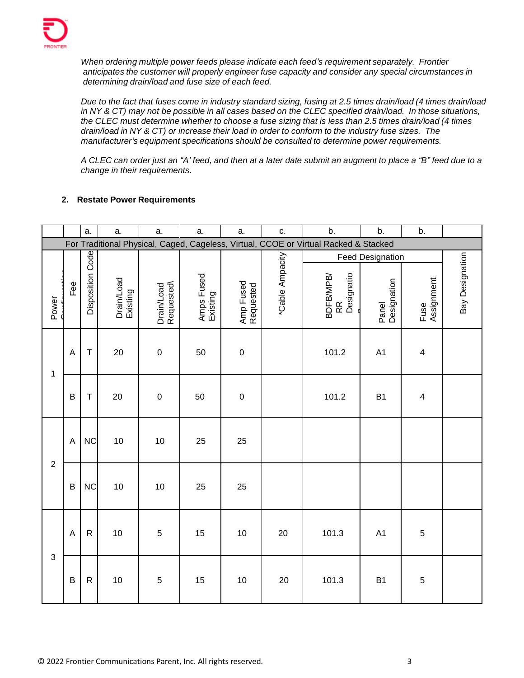

*When ordering multiple power feeds please indicate each feed's requirement separately. Frontier anticipates the customer will properly engineer fuse capacity and consider any special circumstances in determining drain/loadand fuse size of each feed.*

Due to the fact that fuses come in industry standard sizing, fusing at 2.5 times drain/load (4 times drain/load in NY & CT) may not be possible in all cases based on the CLEC specified drain/load. In those situations, the CLEC must determine whether to choose a fuse sizing that is less than 2.5 times drain/load (4 times *drain/load in NY & CT) or increase their load in order to conform to the industry fuse sizes. The manufacturer's equipment specifications should be consulted to determine power requirements.*

A CLEC can order just an "A' feed, and then at a later date submit an augment to place a "B" feed due to a *change in their requirements.*

# **2. Restate Power Requirements**

|                |                                                                                      | a.               | a.                     | a.                      | a.                     | a.                     | c.              | b.                                               | b.                                              | b.                 |                 |  |
|----------------|--------------------------------------------------------------------------------------|------------------|------------------------|-------------------------|------------------------|------------------------|-----------------|--------------------------------------------------|-------------------------------------------------|--------------------|-----------------|--|
|                | For Traditional Physical, Caged, Cageless, Virtual, CCOE or Virtual Racked & Stacked |                  |                        |                         |                        |                        |                 |                                                  |                                                 |                    |                 |  |
| Power          | Fee                                                                                  | Disposition Code | Drain/Load<br>Existing | Requested<br>Drain/Load | Amps Fused<br>Existing | Amp Fused<br>Requested | *Cable Ampacity | Designatio<br>BDFB/MPB/<br>$\mathop{\mathbb{R}}$ | <b>Feed Designation</b><br>Panel<br>Designation | Fuse<br>Assignment | Bay Designation |  |
| 1              | A                                                                                    | T                | 20                     | $\mathbf 0$             | 50                     | $\boldsymbol{0}$       |                 | 101.2                                            | A <sub>1</sub>                                  | $\overline{4}$     |                 |  |
|                | B                                                                                    | $\mathsf T$      | 20                     | $\mathbf 0$             | 50                     | $\boldsymbol{0}$       |                 | 101.2                                            | B <sub>1</sub>                                  | $\overline{4}$     |                 |  |
| $\overline{2}$ | A                                                                                    | <b>NC</b>        | 10                     | 10                      | 25                     | 25                     |                 |                                                  |                                                 |                    |                 |  |
|                | B                                                                                    | <b>NC</b>        | 10                     | 10                      | 25                     | 25                     |                 |                                                  |                                                 |                    |                 |  |
| $\mathsf 3$    | A                                                                                    | $\mathsf R$      | 10                     | 5                       | 15                     | 10                     | 20              | 101.3                                            | A <sub>1</sub>                                  | $\sqrt{5}$         |                 |  |
|                | B                                                                                    | $\mathsf R$      | 10                     | 5                       | 15                     | 10                     | 20              | 101.3                                            | <b>B1</b>                                       | 5                  |                 |  |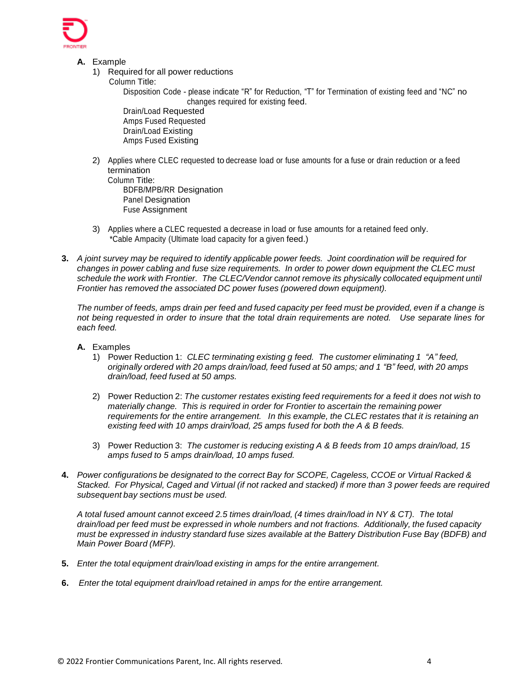

- **A.** Example
	- 1) Required for all power reductions
		- Column Title:

Disposition Code - please indicate "R" for Reduction, "T" for Termination of existing feed and "NC" no changes required for existing feed.

Drain/Load Requested Amps Fused Requested Drain/Load Existing Amps Fused Existing

2) Applies where CLEC requested todecrease load or fuse amounts for a fuse or drain reduction or afeed termination

Column Title: BDFB/MPB/RR Designation Panel Designation Fuse Assignment

- 3) Applies where a CLEC requested a decrease in load or fuse amounts for aretained feed only. \*Cable Ampacity (Ultimate load capacity for agiven feed.)
- **3.** *A joint survey may be required to identify applicable power feeds. Joint coordination will be required for changes in power cabling and fuse size requirements. In order to power down equipment the CLEC must schedule the work with Frontier. The CLEC/Vendor cannot remove its physically collocated equipmentuntil Frontier has removed the associated DC power fuses (powered down equipment).*

The number of feeds, amps drain per feed and fused capacity per feed must be provided, even if a change is *not being requested in order to insure that the total drain requirements are noted. Use separate lines for each feed.*

- **A.** Examples
	- 1) Power Reduction 1: *CLEC terminating existing g feed. The customer eliminating 1 "A" feed, originally ordered with 20 amps drain/load, feed fused at 50 amps; and 1 "B" feed, with 20 amps drain/load, feed fused at 50 amps.*
	- 2) Power Reduction 2: *The customer restates existing feed requirements for a feed it does not wish to materially change. This is required in order for Frontier to ascertain the remaining power requirements for the entire arrangement. In this example, the CLEC restates that it is retaining an existing feed with 10 amps drain/load, 25 amps fused for both the A & B feeds.*
	- 3) Power Reduction 3: *The customer is reducing existing A & B feeds from 10 amps drain/load, 15 amps fused to 5 amps drain/load, 10 amps fused.*
- **4.** *Power configurations be designated to the correct Bay for SCOPE, Cageless, CCOE or Virtual Racked &*  Stacked. For Physical, Caged and Virtual (if not racked and stacked) if more than 3 power feeds are required *subsequentbay sections must be used.*

*A total fused amount cannot exceed 2.5 times drain/load, (4 times drain/load in NY & CT). The total drain/load per feed must be expressed in whole numbers and not fractions. Additionally,the fused capacity must be expressed in industry standard fuse sizes available at the Battery Distribution Fuse Bay (BDFB) and Main Power Board (MFP).*

- **5.** *Enter the total equipment drain/load existing in amps for the entire arrangement.*
- **6.** *Enter the total equipment drain/load retained in amps for the entire arrangement.*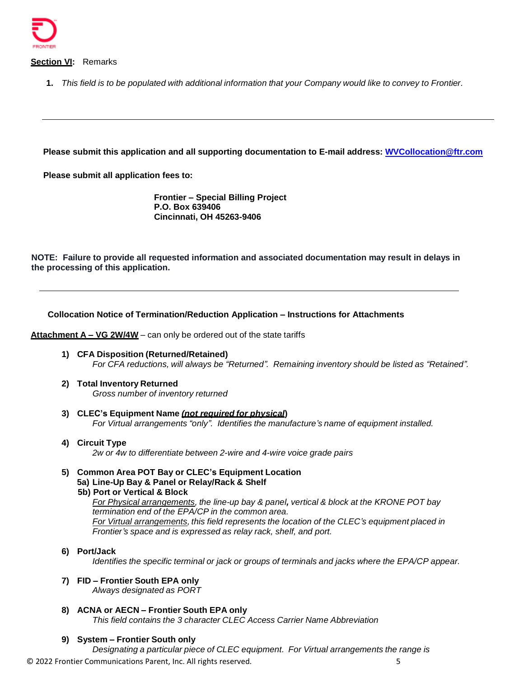

**Section VI:** Remarks

**1.** *This field is to be populated with additional information that your Company would like to convey to Frontier.*

**Please submit this application and all supporting documentation to E-mail address: [WVCollocation@ftr.com](mailto:WVCollocation@ftr.com)**

**Please submit all application fees to:**

**Frontier – Special Billing Project P.O. Box 639406 Cincinnati, OH 45263-9406**

**NOTE: Failure to provide all requested information and associated documentation may result in delays in the processing of this application.**

#### **Collocation Notice of Termination/Reduction Application – Instructions for Attachments**

**Attachment A – VG 2W/4W** – can only be ordered out of the state tariffs

- **1) CFA Disposition (Returned/Retained)** *For CFA reductions, will always be "Returned". Remaining inventory should be listed as "Retained".*
- **2) Total Inventory Returned** *Gross number of inventory returned*
- **3) CLEC's Equipment Name** *(not required for physical***)** *For Virtual arrangements "only". Identifies the manufacture'sname of equipment installed.*
- **4) Circuit Type** *2w or 4w to differentiatebetween 2-wire and 4-wire voice grade pairs*
- **5) Common Area POT Bay or CLEC's Equipment Location 5a) Line-Up Bay & Panel or Relay/Rack & Shelf 5b) Port or Vertical & Block** *For Physical arrangements, the line-up bay & panel, vertical & block at the KRONE POT bay termination end of the EPA/CP in the common area.*

*For* Virtual arrangements, this field represents the location of the CLEC's equipment placed in *Frontier's space and is expressed as relay rack, shelf, and port.*

**6) Port/Jack**

*Identifies the specific terminal or jack or groups of terminals and jacks where the EPA/CP appear.*

**7) FID – Frontier South EPA only**

*Always designated as PORT*

**8) ACNA or AECN – Frontier South EPA only** *This field contains the 3 character CLEC Access Carrier Name Abbreviation*

#### **9) System – Frontier South only**

© 2022 Frontier Communications Parent, Inc. All rights reserved. 5 *Designating a particular piece of CLEC equipment. For Virtual arrangements the range is*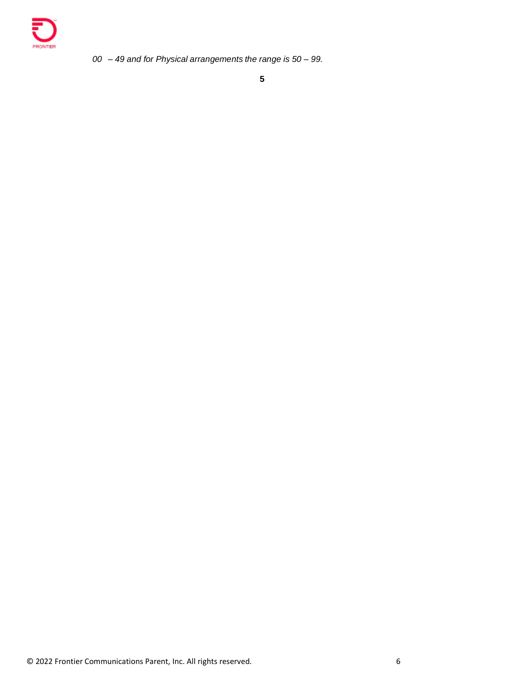

*00 – 49 and for Physical arrangements the range is 50 – 99.*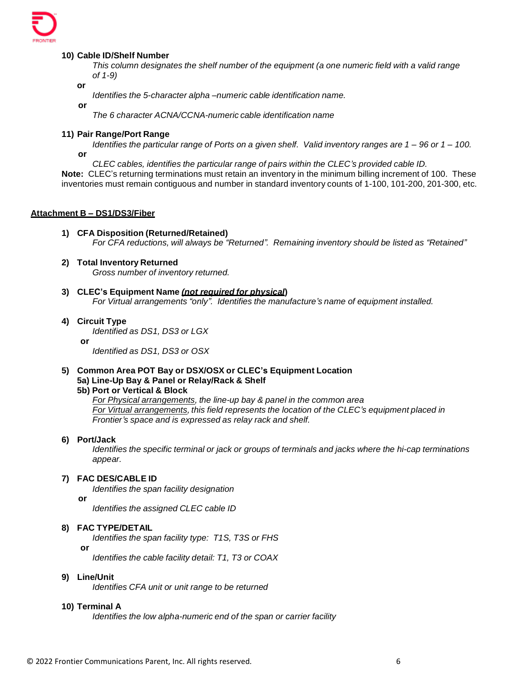

#### **10) Cable ID/Shelf Number**

*This column designates the shelf number of the equipment (a one numeric field with a valid range of 1-9)*

**or**

*Identifies the 5-character alpha –numeric cable identification name.*

**or**

*The 6 character ACNA/CCNA-numeric cable identification name*

#### **11) Pair Range/Port Range**

Identifies the particular range of Ports on a given shelf. Valid inventory ranges are 1 – 96 or 1 – 100. **or**

*CLEC cables, identifies the particular range of pairs within the CLEC's provided cable ID.*

**Note:** CLEC's returning terminations must retain an inventory in the minimum billing increment of 100. These inventories must remain contiguous and number in standard inventory counts of 1-100, 101-200, 201-300, etc.

#### **Attachment B – DS1/DS3/Fiber**

- **1) CFA Disposition (Returned/Retained)** *For CFA reductions, will always be "Returned". Remaining inventory should be listed as "Retained"*
- **2) Total Inventory Returned** *Gross number of inventory returned.*
- **3) CLEC's Equipment Name** *(not required for physical***)** *For Virtual arrangements "only". Identifies the manufacture'sname of equipment installed.*
- **4) Circuit Type** *Identified as DS1, DS3 or LGX* **or**

*Identified as DS1, DS3 or OSX*

**5) Common Area POT Bay or DSX/OSX or CLEC's Equipment Location 5a) Line-Up Bay & Panel or Relay/Rack & Shelf**

#### **5b) Port or Vertical & Block**

*For Physical arrangements, the line-up bay & panel in the common area For* Virtual arrangements, this field represents the location of the CLEC's equipment placed in *Frontier's space and is expressed as relay rack and shelf.*

#### **6) Port/Jack**

*Identifies the specific terminal or jack or groups of terminals and jacks where the hi-cap terminations appear.*

#### **7) FAC DES/CABLE ID**

*Identifies the span facility designation*

**or**

*Identifies the assigned CLEC cable ID*

#### **8) FAC TYPE/DETAIL**

*Identifies the span facility type: T1S, T3S or FHS*

**or**

*Identifies the cable facility detail: T1, T3 or COAX*

#### **9) Line/Unit**

*Identifies CFA unit or unit range to be returned*

#### **10) Terminal A**

*Identifies the low alpha-numeric end of the span or carrier facility*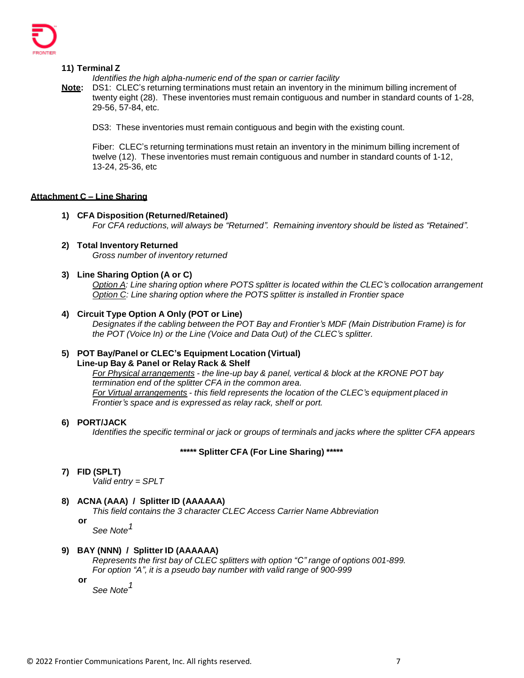

**11) Terminal Z**

*Identifies the high alpha-numericend of the span or carrier facility*

**Note:** DS1: CLEC's returning terminations must retain an inventory in the minimum billing increment of twenty eight (28). These inventories must remain contiguous and number in standard counts of 1-28, 29-56, 57-84, etc.

DS3: These inventories must remain contiguous and begin with the existing count.

Fiber: CLEC's returning terminations must retain an inventory in the minimum billing increment of twelve (12). These inventories must remain contiguous and number in standard counts of 1-12, 13-24, 25-36, etc

# **Attachment C – Line Sharing**

- **1) CFA Disposition (Returned/Retained)** *For CFA reductions, will always be "Returned". Remaining inventory should be listed as "Retained".*
- **2) Total Inventory Returned** *Gross number of inventory returned*
- **3) Line Sharing Option (A or C)**

*Option A: Line sharing option where POTS splitter is located within the CLEC's collocation arrangement Option C: Line sharing option where the POTS splitter is installed in Frontier space*

**4) Circuit Type Option A Only (POT or Line)**

*Designates if the cabling between the POT Bay and Frontier's MDF (Main Distribution Frame) is for the POT (Voice In) or the Line (Voice and Data Out) of the CLEC's splitter.*

# **5) POT Bay/Panel or CLEC's Equipment Location (Virtual)**

#### **Line-up Bay & Panel or Relay Rack & Shelf**

*For Physical arrangements - the line-up bay & panel, vertical & block at the KRONE POT bay termination end of the splitter CFA in the common area. For Virtual arrangements - this field represents the location of the CLEC's equipmentplaced in Frontier's space and is expressed as relay rack, shelf or port.*

**6) PORT/JACK**

*Identifies the specific terminal or jack or groups of terminals and jacks where the splitter CFA appears*

# **\*\*\*\*\* Splitter CFA (For Line Sharing) \*\*\*\*\***

**7) FID (SPLT)**

*Valid entry = SPLT*

# **8) ACNA (AAA) / Splitter ID (AAAAAA)**

*This field contains the 3 character CLEC Access Carrier Name Abbreviation*

**or** *See Note 1*

#### **9) BAY (NNN) / Splitter ID (AAAAAA)**

*Represents the first bay of CLEC splitters with option "C" range of options 001-899. For option "A", it is a pseudo bay number with valid range of 900-999*

**or**

*See Note 1*